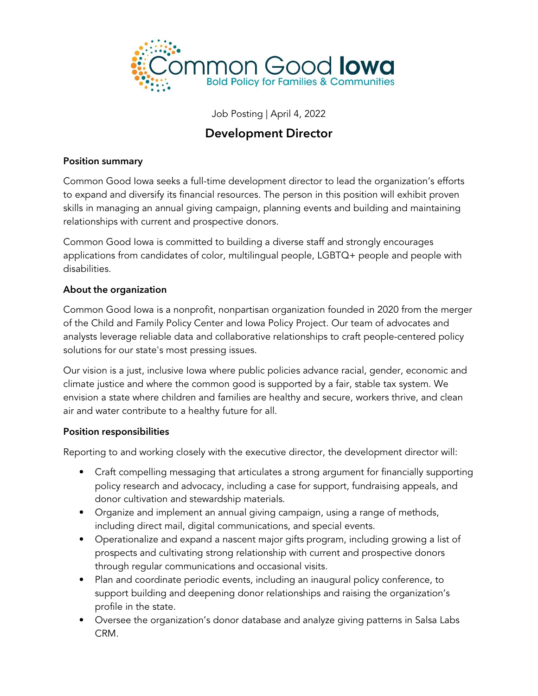

Job Posting | April 4, 2022

# Development Director

#### Position summary

Common Good Iowa seeks a full-time development director to lead the organization's efforts to expand and diversify its financial resources. The person in this position will exhibit proven skills in managing an annual giving campaign, planning events and building and maintaining relationships with current and prospective donors.

Common Good Iowa is committed to building a diverse staff and strongly encourages applications from candidates of color, multilingual people, LGBTQ+ people and people with disabilities.

#### About the organization

Common Good Iowa is a nonprofit, nonpartisan organization founded in 2020 from the merger of the Child and Family Policy Center and Iowa Policy Project. Our team of advocates and analysts leverage reliable data and collaborative relationships to craft people-centered policy solutions for our state's most pressing issues.

Our vision is a just, inclusive Iowa where public policies advance racial, gender, economic and climate justice and where the common good is supported by a fair, stable tax system. We envision a state where children and families are healthy and secure, workers thrive, and clean air and water contribute to a healthy future for all.

#### Position responsibilities

Reporting to and working closely with the executive director, the development director will:

- Craft compelling messaging that articulates a strong argument for financially supporting policy research and advocacy, including a case for support, fundraising appeals, and donor cultivation and stewardship materials.
- Organize and implement an annual giving campaign, using a range of methods, including direct mail, digital communications, and special events.
- Operationalize and expand a nascent major gifts program, including growing a list of prospects and cultivating strong relationship with current and prospective donors through regular communications and occasional visits.
- Plan and coordinate periodic events, including an inaugural policy conference, to support building and deepening donor relationships and raising the organization's profile in the state.
- Oversee the organization's donor database and analyze giving patterns in Salsa Labs CRM.